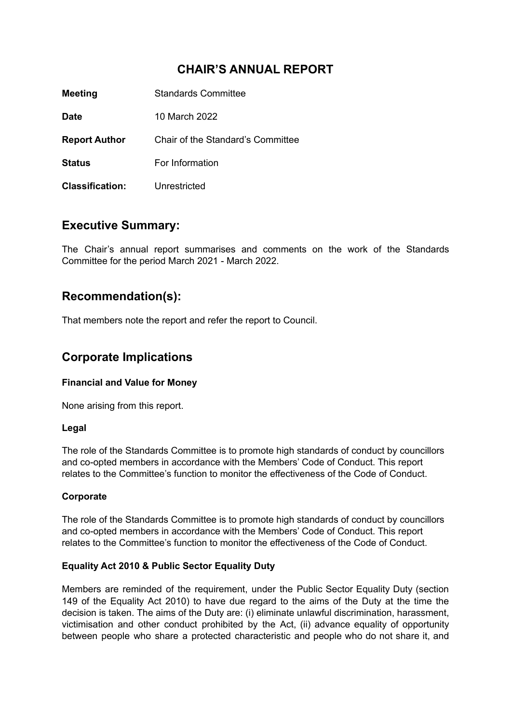# **CHAIR'S ANNUAL REPORT**

| <b>Meeting</b>         | Standards Committee               |
|------------------------|-----------------------------------|
| <b>Date</b>            | 10 March 2022                     |
| <b>Report Author</b>   | Chair of the Standard's Committee |
| <b>Status</b>          | For Information                   |
| <b>Classification:</b> | Unrestricted                      |

### **Executive Summary:**

The Chair's annual report summarises and comments on the work of the Standards Committee for the period March 2021 - March 2022.

# **Recommendation(s):**

That members note the report and refer the report to Council.

## **Corporate Implications**

#### **Financial and Value for Money**

None arising from this report.

#### **Legal**

The role of the Standards Committee is to promote high standards of conduct by councillors and co-opted members in accordance with the Members' Code of Conduct. This report relates to the Committee's function to monitor the effectiveness of the Code of Conduct.

#### **Corporate**

The role of the Standards Committee is to promote high standards of conduct by councillors and co-opted members in accordance with the Members' Code of Conduct. This report relates to the Committee's function to monitor the effectiveness of the Code of Conduct.

#### **Equality Act 2010 & Public Sector Equality Duty**

Members are reminded of the requirement, under the Public Sector Equality Duty (section 149 of the Equality Act 2010) to have due regard to the aims of the Duty at the time the decision is taken. The aims of the Duty are: (i) eliminate unlawful discrimination, harassment, victimisation and other conduct prohibited by the Act, (ii) advance equality of opportunity between people who share a protected characteristic and people who do not share it, and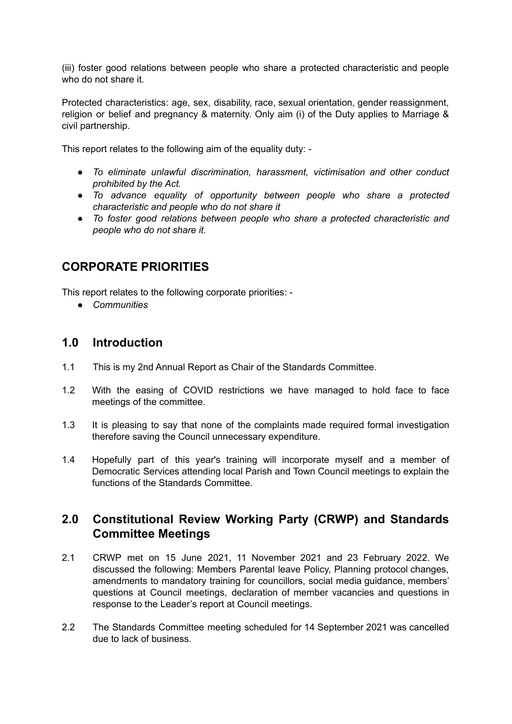(iii) foster good relations between people who share a protected characteristic and people who do not share it.

Protected characteristics: age, sex, disability, race, sexual orientation, gender reassignment, religion or belief and pregnancy & maternity. Only aim (i) of the Duty applies to Marriage & civil partnership.

This report relates to the following aim of the equality duty: -

- *● To eliminate unlawful discrimination, harassment, victimisation and other conduct prohibited by the Act.*
- *● To advance equality of opportunity between people who share a protected characteristic and people who do not share it*
- *● To foster good relations between people who share a protected characteristic and people who do not share it.*

## **CORPORATE PRIORITIES**

This report relates to the following corporate priorities: -

*● Communities*

### **1.0 Introduction**

- 1.1 This is my 2nd Annual Report as Chair of the Standards Committee.
- 1.2 With the easing of COVID restrictions we have managed to hold face to face meetings of the committee.
- 1.3 It is pleasing to say that none of the complaints made required formal investigation therefore saving the Council unnecessary expenditure.
- 1.4 Hopefully part of this year's training will incorporate myself and a member of Democratic Services attending local Parish and Town Council meetings to explain the functions of the Standards Committee.

### **2.0 Constitutional Review Working Party (CRWP) and Standards Committee Meetings**

- 2.1 CRWP met on 15 June 2021, 11 November 2021 and 23 February 2022. We discussed the following: Members Parental leave Policy, Planning protocol changes, amendments to mandatory training for councillors, social media guidance, members' questions at Council meetings, declaration of member vacancies and questions in response to the Leader's report at Council meetings.
- 2.2 The Standards Committee meeting scheduled for 14 September 2021 was cancelled due to lack of business.